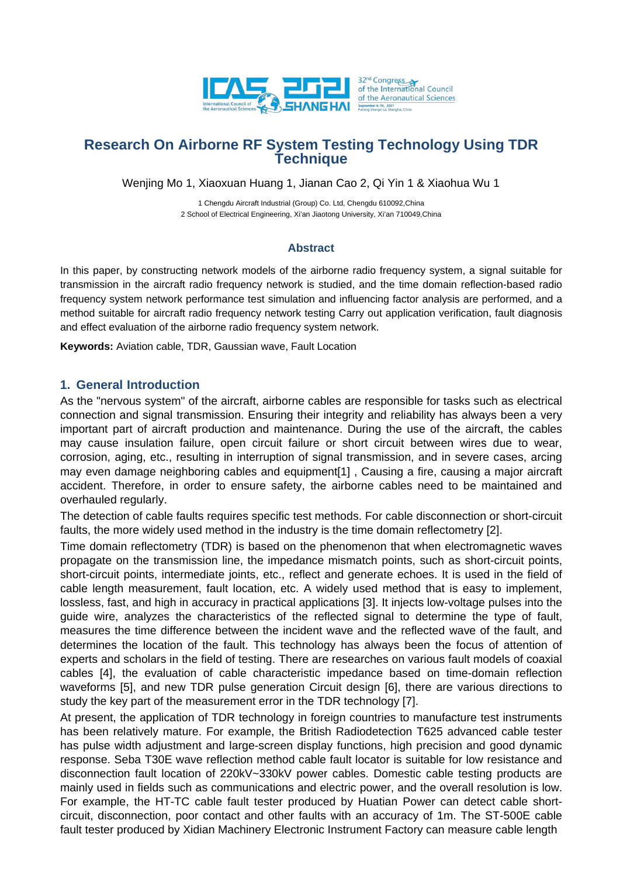

Wenjing Mo 1, Xiaoxuan Huang 1, Jianan Cao 2, Qi Yin 1 & Xiaohua Wu 1

1 Chengdu Aircraft Industrial (Group) Co. Ltd, Chengdu 610092,China 2 School of Electrical Engineering, Xi'an Jiaotong University, Xi'an 710049,China

### **Abstract**

In this paper, by constructing network models of the airborne radio frequency system, a signal suitable for transmission in the aircraft radio frequency network is studied, and the time domain reflection-based radio frequency system network performance test simulation and influencing factor analysis are performed, and a method suitable for aircraft radio frequency network testing Carry out application verification, fault diagnosis and effect evaluation of the airborne radio frequency system network.

**Keywords:** Aviation cable, TDR, Gaussian wave, Fault Location

### **1. General Introduction**

As the "nervous system" of the aircraft, airborne cables are responsible for tasks such as electrical connection and signal transmission. Ensuring their integrity and reliability has always been a very important part of aircraft production and maintenance. During the use of the aircraft, the cables may cause insulation failure, open circuit failure or short circuit between wires due to wear, corrosion, aging, etc., resulting in interruption of signal transmission, and in severe cases, arcing may even damage neighboring cables and equipment[1] , Causing a fire, causing a major aircraft accident. Therefore, in order to ensure safety, the airborne cables need to be maintained and overhauled regularly.

The detection of cable faults requires specific test methods. For cable disconnection or short-circuit faults, the more widely used method in the industry is the time domain reflectometry [2].

Time domain reflectometry (TDR) is based on the phenomenon that when electromagnetic waves propagate on the transmission line, the impedance mismatch points, such as short-circuit points, short-circuit points, intermediate joints, etc., reflect and generate echoes. It is used in the field of cable length measurement, fault location, etc. A widely used method that is easy to implement, lossless, fast, and high in accuracy in practical applications [3]. It injects low-voltage pulses into the guide wire, analyzes the characteristics of the reflected signal to determine the type of fault, measures the time difference between the incident wave and the reflected wave of the fault, and determines the location of the fault. This technology has always been the focus of attention of experts and scholars in the field of testing. There are researches on various fault models of coaxial cables [4], the evaluation of cable characteristic impedance based on time-domain reflection waveforms [5], and new TDR pulse generation Circuit design [6], there are various directions to study the key part of the measurement error in the TDR technology [7].

At present, the application of TDR technology in foreign countries to manufacture test instruments has been relatively mature. For example, the British Radiodetection T625 advanced cable tester has pulse width adjustment and large-screen display functions, high precision and good dynamic response. Seba T30E wave reflection method cable fault locator is suitable for low resistance and disconnection fault location of 220kV~330kV power cables. Domestic cable testing products are mainly used in fields such as communications and electric power, and the overall resolution is low. For example, the HT-TC cable fault tester produced by Huatian Power can detect cable shortcircuit, disconnection, poor contact and other faults with an accuracy of 1m. The ST-500E cable fault tester produced by Xidian Machinery Electronic Instrument Factory can measure cable length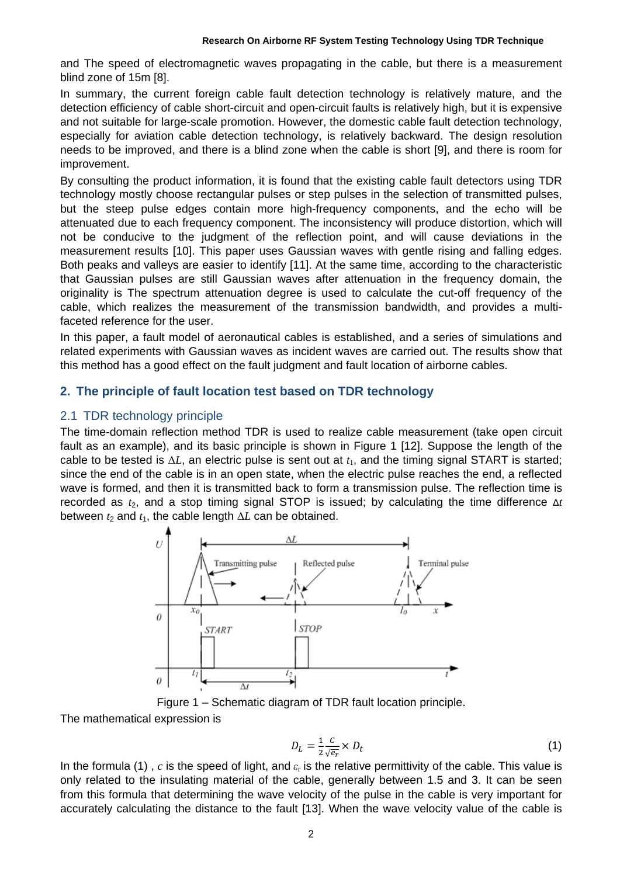and The speed of electromagnetic waves propagating in the cable, but there is a measurement blind zone of 15m [8].

In summary, the current foreign cable fault detection technology is relatively mature, and the detection efficiency of cable short-circuit and open-circuit faults is relatively high, but it is expensive and not suitable for large-scale promotion. However, the domestic cable fault detection technology, especially for aviation cable detection technology, is relatively backward. The design resolution needs to be improved, and there is a blind zone when the cable is short [9], and there is room for improvement.

By consulting the product information, it is found that the existing cable fault detectors using TDR technology mostly choose rectangular pulses or step pulses in the selection of transmitted pulses, but the steep pulse edges contain more high-frequency components, and the echo will be attenuated due to each frequency component. The inconsistency will produce distortion, which will not be conducive to the judgment of the reflection point, and will cause deviations in the measurement results [10]. This paper uses Gaussian waves with gentle rising and falling edges. Both peaks and valleys are easier to identify [11]. At the same time, according to the characteristic that Gaussian pulses are still Gaussian waves after attenuation in the frequency domain, the originality is The spectrum attenuation degree is used to calculate the cut-off frequency of the cable, which realizes the measurement of the transmission bandwidth, and provides a multifaceted reference for the user.

In this paper, a fault model of aeronautical cables is established, and a series of simulations and related experiments with Gaussian waves as incident waves are carried out. The results show that this method has a good effect on the fault judgment and fault location of airborne cables.

### **2. The principle of fault location test based on TDR technology**

### 2.1 TDR technology principle

The time-domain reflection method TDR is used to realize cable measurement (take open circuit fault as an example), and its basic principle is shown in Figure 1 [12]. Suppose the length of the cable to be tested is  $\Delta L$ , an electric pulse is sent out at  $t_1$ , and the timing signal START is started; since the end of the cable is in an open state, when the electric pulse reaches the end, a reflected wave is formed, and then it is transmitted back to form a transmission pulse. The reflection time is recorded as  $t_2$ , and a stop timing signal STOP is issued; by calculating the time difference Δ*t* between  $t_2$  and  $t_1$ , the cable length  $\Delta L$  can be obtained.



Figure 1 – Schematic diagram of TDR fault location principle.

The mathematical expression is

$$
D_L = \frac{1}{2} \frac{c}{\sqrt{e_r}} \times D_t \tag{1}
$$

In the formula (1) , *c* is the speed of light, and *ε*<sup>r</sup> is the relative permittivity of the cable. This value is only related to the insulating material of the cable, generally between 1.5 and 3. It can be seen from this formula that determining the wave velocity of the pulse in the cable is very important for accurately calculating the distance to the fault [13]. When the wave velocity value of the cable is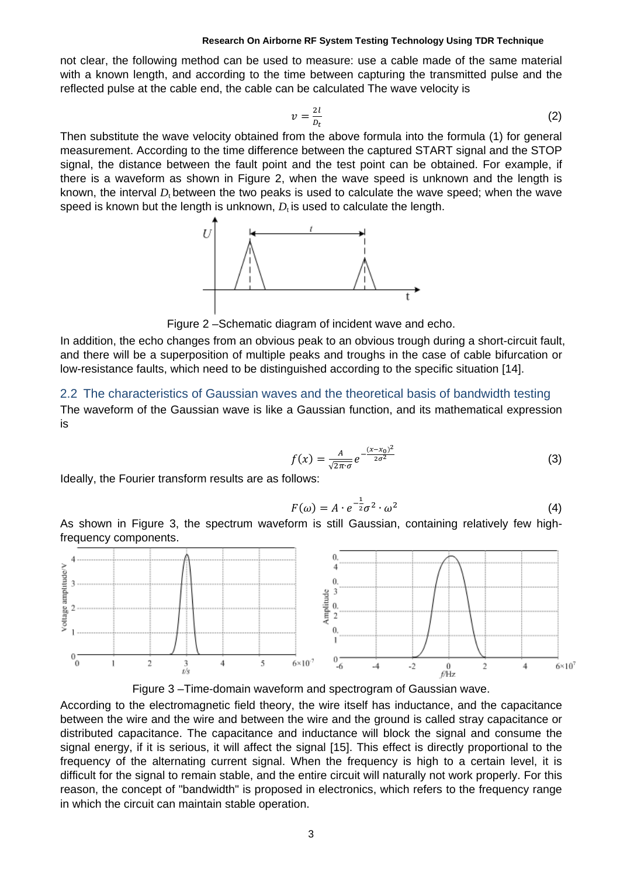not clear, the following method can be used to measure: use a cable made of the same material with a known length, and according to the time between capturing the transmitted pulse and the reflected pulse at the cable end, the cable can be calculated The wave velocity is

$$
v = \frac{2l}{D_t} \tag{2}
$$

Then substitute the wave velocity obtained from the above formula into the formula (1) for general measurement. According to the time difference between the captured START signal and the STOP signal, the distance between the fault point and the test point can be obtained. For example, if there is a waveform as shown in Figure 2, when the wave speed is unknown and the length is known, the interval *D*<sub>t</sub> between the two peaks is used to calculate the wave speed; when the wave speed is known but the length is unknown,  $D<sub>t</sub>$  is used to calculate the length.



Figure 2 –Schematic diagram of incident wave and echo.

In addition, the echo changes from an obvious peak to an obvious trough during a short-circuit fault, and there will be a superposition of multiple peaks and troughs in the case of cable bifurcation or low-resistance faults, which need to be distinguished according to the specific situation [14].

### 2.2 The characteristics of Gaussian waves and the theoretical basis of bandwidth testing

The waveform of the Gaussian wave is like a Gaussian function, and its mathematical expression is

$$
f(x) = \frac{A}{\sqrt{2\pi}\sigma} e^{-\frac{(x-x_0)^2}{2\sigma^2}}
$$
 (3)

Ideally, the Fourier transform results are as follows:

$$
F(\omega) = A \cdot e^{-\frac{1}{2}} \sigma^2 \cdot \omega^2 \tag{4}
$$

As shown in Figure 3, the spectrum waveform is still Gaussian, containing relatively few highfrequency components.





According to the electromagnetic field theory, the wire itself has inductance, and the capacitance between the wire and the wire and between the wire and the ground is called stray capacitance or distributed capacitance. The capacitance and inductance will block the signal and consume the signal energy, if it is serious, it will affect the signal [15]. This effect is directly proportional to the frequency of the alternating current signal. When the frequency is high to a certain level, it is difficult for the signal to remain stable, and the entire circuit will naturally not work properly. For this reason, the concept of "bandwidth" is proposed in electronics, which refers to the frequency range in which the circuit can maintain stable operation.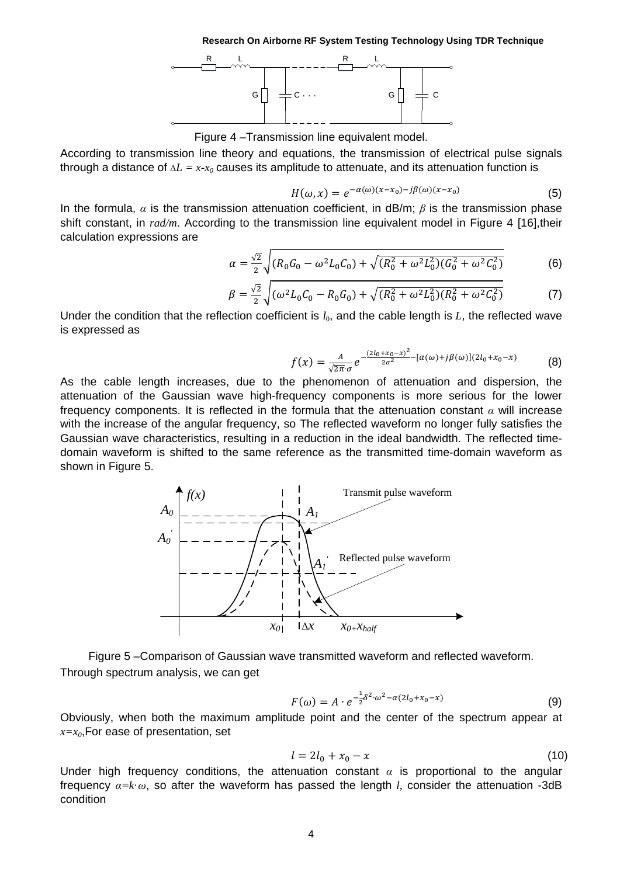

Figure 4 –Transmission line equivalent model.

According to transmission line theory and equations, the transmission of electrical pulse signals through a distance of  $\Delta L = x \cdot x_0$  causes its amplitude to attenuate, and its attenuation function is

$$
H(\omega, x) = e^{-\alpha(\omega)(x - x_0) - j\beta(\omega)(x - x_0)}
$$
(5)

In the formula, *α* is the transmission attenuation coefficient, in dB/m; *β* is the transmission phase shift constant, in *rad/m*. According to the transmission line equivalent model in Figure 4 [16],their calculation expressions are

$$
\alpha = \frac{\sqrt{2}}{2} \sqrt{(R_0 G_0 - \omega^2 L_0 C_0) + \sqrt{(R_0^2 + \omega^2 L_0^2)(G_0^2 + \omega^2 C_0^2)}}
$$
(6)

$$
\beta = \frac{\sqrt{2}}{2} \sqrt{(\omega^2 L_0 C_0 - R_0 G_0) + \sqrt{(R_0^2 + \omega^2 L_0^2)(R_0^2 + \omega^2 C_0^2)}}
$$
(7)

Under the condition that the reflection coefficient is  $l_0$ , and the cable length is  $L$ , the reflected wave is expressed as

$$
f(x) = \frac{A}{\sqrt{2\pi} \cdot \sigma} e^{-\frac{(2l_0 + x_0 - x)^2}{2\sigma^2} - [\alpha(\omega) + j\beta(\omega)](2l_0 + x_0 - x)}
$$
(8)

As the cable length increases, due to the phenomenon of attenuation and dispersion, the attenuation of the Gaussian wave high-frequency components is more serious for the lower frequency components. It is reflected in the formula that the attenuation constant *α* will increase with the increase of the angular frequency, so The reflected waveform no longer fully satisfies the Gaussian wave characteristics, resulting in a reduction in the ideal bandwidth. The reflected timedomain waveform is shifted to the same reference as the transmitted time-domain waveform as shown in Figure 5.



Figure 5 –Comparison of Gaussian wave transmitted waveform and reflected waveform. Through spectrum analysis, we can get

$$
F(\omega) = A \cdot e^{-\frac{1}{2}\delta^2 \cdot \omega^2 - \alpha(2l_0 + x_0 - x)}
$$
(9)

Obviously, when both the maximum amplitude point and the center of the spectrum appear at  $x=x_0$ , For ease of presentation, set

$$
l = 2l_0 + x_0 - x \tag{10}
$$

Under high frequency conditions, the attenuation constant  $\alpha$  is proportional to the angular frequency *α=k*·*ω*, so after the waveform has passed the length *l,* consider the attenuation -3dB condition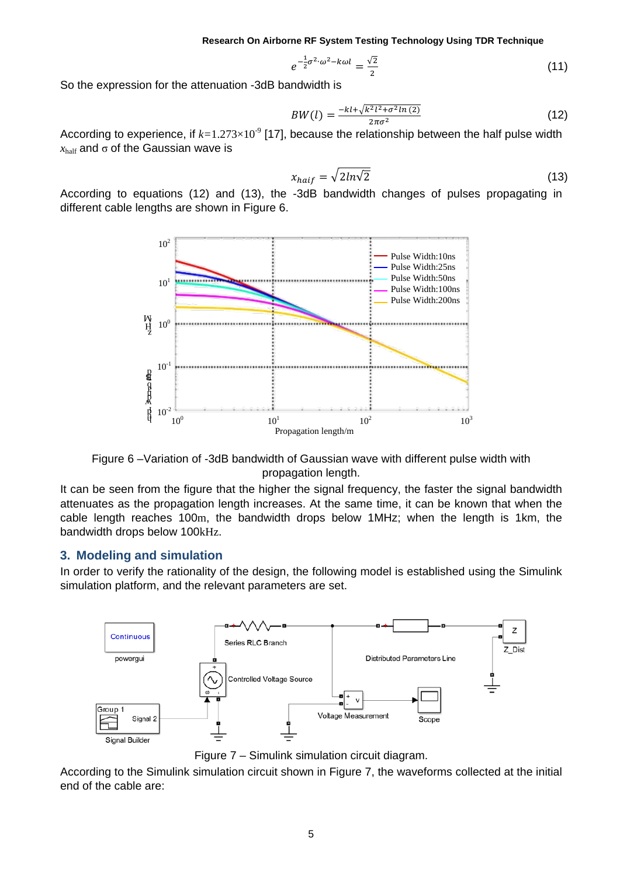$$
e^{-\frac{1}{2}\sigma^2 \cdot \omega^2 - k\omega l} = \frac{\sqrt{2}}{2} \tag{11}
$$

So the expression for the attenuation -3dB bandwidth is

$$
BW(l) = \frac{-kl + \sqrt{k^2 l^2 + \sigma^2 ln (2)}}{2\pi\sigma^2}
$$
 (12)

According to experience, if  $k=1.273\times10^5$  [17], because the relationship between the half pulse width  $x<sub>half</sub>$  and  $\sigma$  of the Gaussian wave is

$$
x_{hair} = \sqrt{2ln\sqrt{2}}
$$
 (13)

According to equations (12) and (13), the -3dB bandwidth changes of pulses propagating in different cable lengths are shown in Figure 6.



Figure 6 –Variation of -3dB bandwidth of Gaussian wave with different pulse width with propagation length.

It can be seen from the figure that the higher the signal frequency, the faster the signal bandwidth attenuates as the propagation length increases. At the same time, it can be known that when the cable length reaches 100m, the bandwidth drops below 1MHz; when the length is 1km, the bandwidth drops below 100kHz.

#### **3. Modeling and simulation**

In order to verify the rationality of the design, the following model is established using the Simulink simulation platform, and the relevant parameters are set.



Figure 7 – Simulink simulation circuit diagram.

According to the Simulink simulation circuit shown in Figure 7, the waveforms collected at the initial end of the cable are: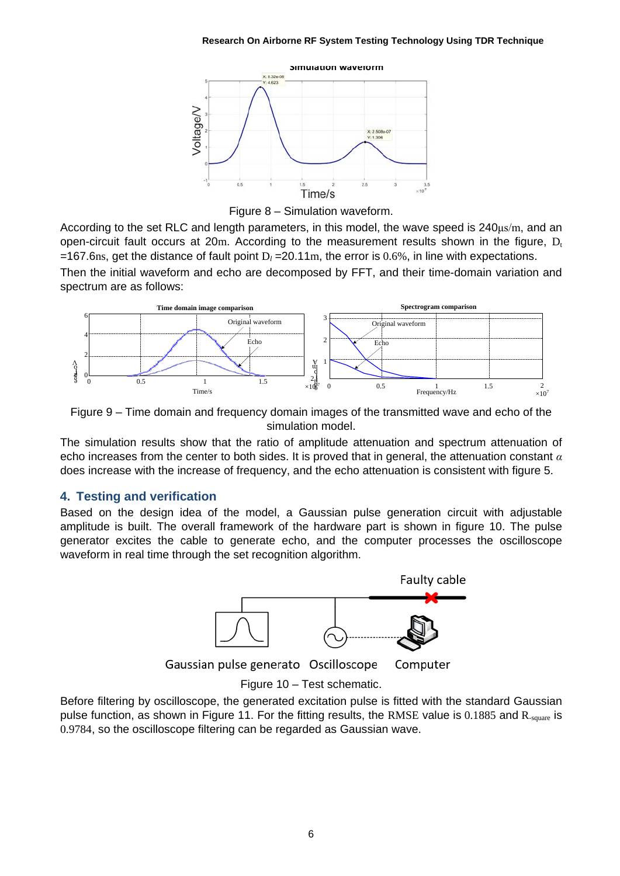

Figure 8 – Simulation waveform.

According to the set RLC and length parameters, in this model, the wave speed is 240μs/m, and an open-circuit fault occurs at 20m. According to the measurement results shown in the figure,  $D_t$ =167.6ns, get the distance of fault point  $D_l = 20.11$ m, the error is 0.6%, in line with expectations. Then the initial waveform and echo are decomposed by FFT, and their time-domain variation and spectrum are as follows:



Figure 9 – Time domain and frequency domain images of the transmitted wave and echo of the simulation model.

The simulation results show that the ratio of amplitude attenuation and spectrum attenuation of echo increases from the center to both sides. It is proved that in general, the attenuation constant *α* does increase with the increase of frequency, and the echo attenuation is consistent with figure 5.

# **4. Testing and verification**

Based on the design idea of the model, a Gaussian pulse generation circuit with adjustable amplitude is built. The overall framework of the hardware part is shown in figure 10. The pulse generator excites the cable to generate echo, and the computer processes the oscilloscope waveform in real time through the set recognition algorithm.



Before filtering by oscilloscope, the generated excitation pulse is fitted with the standard Gaussian pulse function, as shown in Figure 11. For the fitting results, the RMSE value is 0.1885 and R<sub>-square</sub> is 0.9784, so the oscilloscope filtering can be regarded as Gaussian wave.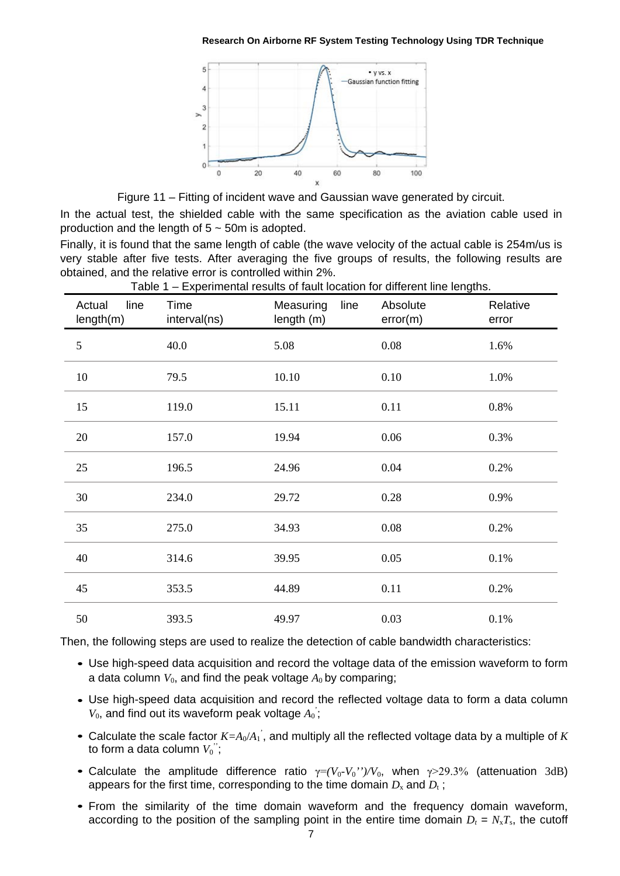

Figure 11 – Fitting of incident wave and Gaussian wave generated by circuit.

In the actual test, the shielded cable with the same specification as the aviation cable used in production and the length of  $5 \sim 50$ m is adopted.

Finally, it is found that the same length of cable (the wave velocity of the actual cable is 254m/us is very stable after five tests. After averaging the five groups of results, the following results are obtained, and the relative error is controlled within 2%.

| line<br>Actual<br>length(m) | Time<br>interval(ns) | Measuring<br>line<br>length (m) | Absolute<br>error(m) | Relative<br>error |
|-----------------------------|----------------------|---------------------------------|----------------------|-------------------|
| $\mathfrak{S}$              | 40.0                 | 5.08                            | 0.08                 | 1.6%              |
| $10\,$                      | 79.5                 | 10.10                           | 0.10                 | 1.0%              |
| 15                          | 119.0                | 15.11                           | 0.11                 | 0.8%              |
| 20                          | 157.0                | 19.94                           | 0.06                 | 0.3%              |
| 25                          | 196.5                | 24.96                           | 0.04                 | 0.2%              |
| 30                          | 234.0                | 29.72                           | 0.28                 | 0.9%              |
| 35                          | 275.0                | 34.93                           | 0.08                 | 0.2%              |
| 40                          | 314.6                | 39.95                           | 0.05                 | 0.1%              |
| 45                          | 353.5                | 44.89                           | 0.11                 | 0.2%              |
| 50                          | 393.5                | 49.97                           | 0.03                 | 0.1%              |

Table 1 – Experimental results of fault location for different line lengths.

Then, the following steps are used to realize the detection of cable bandwidth characteristics:

- Use high-speed data acquisition and record the voltage data of the emission waveform to form *•* a data column  $V_0$ , and find the peak voltage  $A_0$  by comparing;
- Use high-speed data acquisition and record the reflected voltage data to form a data column  $V_0$ , and find out its waveform peak voltage  $A_0$ ;
- Calculate the scale factor  $K = A_0/A_1$ , and multiply all the reflected voltage data by a multiple of *K* to form a data column  $V_0^{\;\;\cdot};$
- *•* Calculate the amplitude difference ratio γ=*(V*0*-V*0*'')/V*0, when γ>29.3% (attenuation 3dB) appears for the first time, corresponding to the time domain  $D_x$  and  $D_t$ ;
- *•* From the similarity of the time domain waveform and the frequency domain waveform, according to the position of the sampling point in the entire time domain  $D_t = N_x T_s$ , the cutoff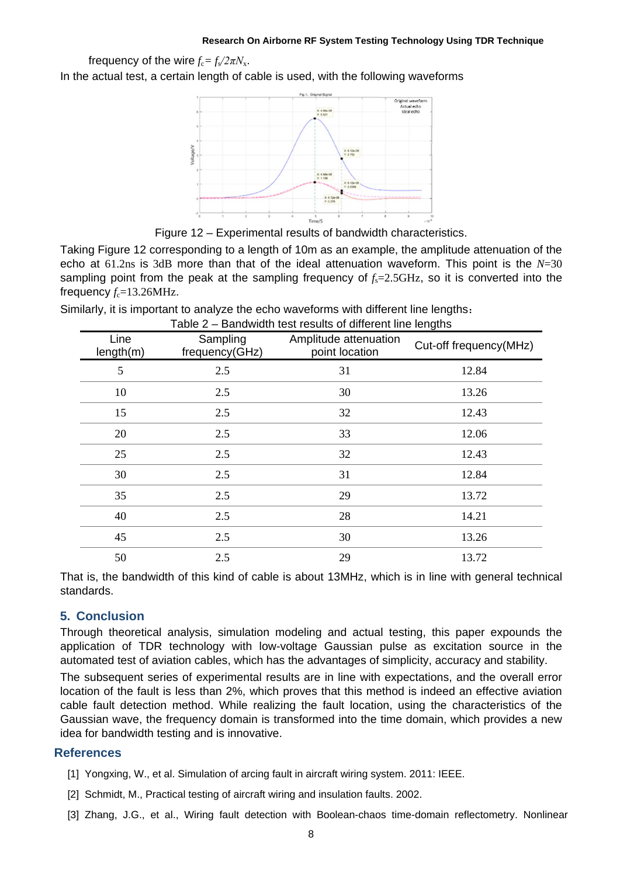frequency of the wire  $f_c = f_s/2\pi N_s$ .

In the actual test, a certain length of cable is used, with the following waveforms



Figure 12 – Experimental results of bandwidth characteristics.

Taking Figure 12 corresponding to a length of 10m as an example, the amplitude attenuation of the echo at 61.2ns is 3dB more than that of the ideal attenuation waveform. This point is the *N*=30 sampling point from the peak at the sampling frequency of  $f_s = 2.5 \text{GHz}$ , so it is converted into the frequency  $f_c = 13.26$ MHz.

Similarly, it is important to analyze the echo waveforms with different line lengths: Table 2 – Bandwidth test results of different line lengths

| Line<br>length(m) | Sampling<br>frequency(GHz) | Amplitude attenuation<br>point location | Cut-off frequency(MHz) |
|-------------------|----------------------------|-----------------------------------------|------------------------|
| 5                 | 2.5                        | 31                                      | 12.84                  |
| 10                | 2.5                        | 30                                      | 13.26                  |
| 15                | 2.5                        | 32                                      | 12.43                  |
| 20                | 2.5                        | 33                                      | 12.06                  |
| 25                | 2.5                        | 32                                      | 12.43                  |
| 30                | 2.5                        | 31                                      | 12.84                  |
| 35                | 2.5                        | 29                                      | 13.72                  |
| 40                | 2.5                        | 28                                      | 14.21                  |
| 45                | 2.5                        | 30                                      | 13.26                  |
| 50                | 2.5                        | 29                                      | 13.72                  |

That is, the bandwidth of this kind of cable is about 13MHz, which is in line with general technical standards.

# **5. Conclusion**

Through theoretical analysis, simulation modeling and actual testing, this paper expounds the application of TDR technology with low-voltage Gaussian pulse as excitation source in the automated test of aviation cables, which has the advantages of simplicity, accuracy and stability.

The subsequent series of experimental results are in line with expectations, and the overall error location of the fault is less than 2%, which proves that this method is indeed an effective aviation cable fault detection method. While realizing the fault location, using the characteristics of the Gaussian wave, the frequency domain is transformed into the time domain, which provides a new idea for bandwidth testing and is innovative.

### **References**

- [1] Yongxing, W., et al. Simulation of arcing fault in aircraft wiring system. 2011: IEEE.
- [2] Schmidt, M., Practical testing of aircraft wiring and insulation faults. 2002.
- [3] Zhang, J.G., et al., Wiring fault detection with Boolean-chaos time-domain reflectometry. Nonlinear